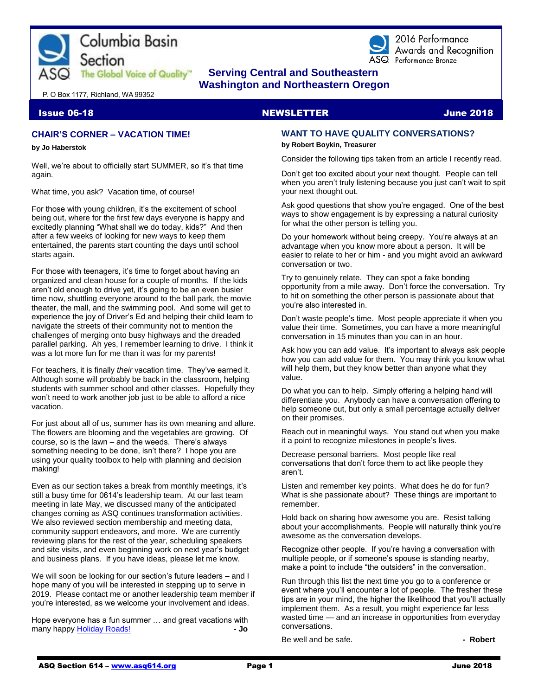



2016 Performance Awards and Recognition ASQ Performance Bronze

# **The Global Voice of Quality"** Serving Central and Southeastern  **Washington and Northeastern Oregon**

P. O Box 1177, Richland, WA 99352

### **Issue 06-18 NEWSLETTER And Solution Contract Contract Contract Contract Contract Contract Contract Contract Contract Contract Contract Contract Contract Contract Contract Contract Contract Contract Contract Contract Contr**

### **CHAIR'S CORNER – VACATION TIME!**

#### **by Jo Haberstok**

Well, we're about to officially start SUMMER, so it's that time again.

What time, you ask? Vacation time, of course!

For those with young children, it's the excitement of school being out, where for the first few days everyone is happy and excitedly planning "What shall we do today, kids?" And then after a few weeks of looking for new ways to keep them entertained, the parents start counting the days until school starts again.

For those with teenagers, it's time to forget about having an organized and clean house for a couple of months. If the kids aren't old enough to drive yet, it's going to be an even busier time now, shuttling everyone around to the ball park, the movie theater, the mall, and the swimming pool. And some will get to experience the joy of Driver's Ed and helping their child learn to navigate the streets of their community not to mention the challenges of merging onto busy highways and the dreaded parallel parking. Ah yes, I remember learning to drive. I think it was a lot more fun for me than it was for my parents!

For teachers, it is finally *their* vacation time. They've earned it. Although some will probably be back in the classroom, helping students with summer school and other classes. Hopefully they won't need to work another job just to be able to afford a nice vacation.

For just about all of us, summer has its own meaning and allure. The flowers are blooming and the vegetables are growing. Of course, so is the lawn – and the weeds. There's always something needing to be done, isn't there? I hope you are using your quality toolbox to help with planning and decision making!

Even as our section takes a break from monthly meetings, it's still a busy time for 0614's leadership team. At our last team meeting in late May, we discussed many of the anticipated changes coming as ASQ continues transformation activities. We also reviewed section membership and meeting data, community support endeavors, and more. We are currently reviewing plans for the rest of the year, scheduling speakers and site visits, and even beginning work on next year's budget and business plans. If you have ideas, please let me know.

We will soon be looking for our section's future leaders – and I hope many of you will be interested in stepping up to serve in 2019. Please contact me or another leadership team member if you're interested, as we welcome your involvement and ideas.

Hope everyone has a fun summer … and great vacations with many happ[y Holiday Roads!](https://www.youtube.com/watch?v=AdvKU4GFg6Y) **- Jo**

## **WANT TO HAVE QUALITY CONVERSATIONS?**

#### **by Robert Boykin, Treasurer**

Consider the following tips taken from an article I recently read.

Don't get too excited about your next thought. People can tell when you aren't truly listening because you just can't wait to spit your next thought out.

Ask good questions that show you're engaged. One of the best ways to show engagement is by expressing a natural curiosity for what the other person is telling you.

Do your homework without being creepy. You're always at an advantage when you know more about a person. It will be easier to relate to her or him - and you might avoid an awkward conversation or two.

Try to genuinely relate. They can spot a fake bonding opportunity from a mile away. Don't force the conversation. Try to hit on something the other person is passionate about that you're also interested in.

Don't waste people's time. Most people appreciate it when you value their time. Sometimes, you can have a more meaningful conversation in 15 minutes than you can in an hour.

Ask how you can add value. It's important to always ask people how you can add value for them. You may think you know what will help them, but they know better than anyone what they value.

Do what you can to help. Simply offering a helping hand will differentiate you. Anybody can have a conversation offering to help someone out, but only a small percentage actually deliver on their promises.

Reach out in meaningful ways. You stand out when you make it a point to recognize milestones in people's lives.

Decrease personal barriers. Most people like real conversations that don't force them to act like people they aren't.

Listen and remember key points. What does he do for fun? What is she passionate about? These things are important to remember.

Hold back on sharing how awesome you are. Resist talking about your accomplishments. People will naturally think you're awesome as the conversation develops.

Recognize other people. If you're having a conversation with multiple people, or if someone's spouse is standing nearby, make a point to include "the outsiders" in the conversation.

Run through this list the next time you go to a conference or event where you'll encounter a lot of people. The fresher these tips are in your mind, the higher the likelihood that you'll actually implement them. As a result, you might experience far less wasted time — and an increase in opportunities from everyday conversations.

Be well and be safe. **All and be safe.** All and the safe.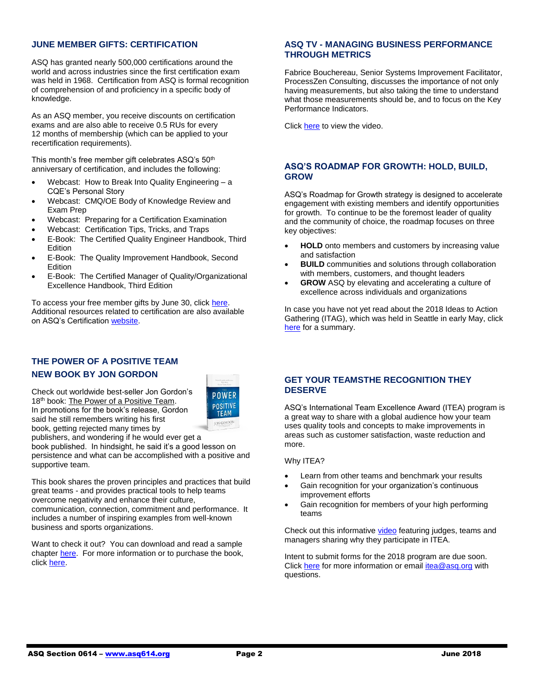### **JUNE MEMBER GIFTS: CERTIFICATION**

ASQ has granted nearly 500,000 certifications around the world and across industries since the first certification exam was held in 1968. Certification from ASQ is formal recognition of comprehension of and proficiency in a specific body of knowledge.

As an ASQ member, you receive discounts on certification exams and are also able to receive 0.5 RUs for every 12 months of membership (which can be applied to your recertification requirements).

This month's free member gift celebrates  $ASQ's 50<sup>th</sup>$ anniversary of certification, and includes the following:

- Webcast: How to Break Into Quality Engineering a CQE's Personal Story
- Webcast: CMQ/OE Body of Knowledge Review and Exam Prep
- Webcast: Preparing for a Certification Examination
- Webcast: Certification Tips, Tricks, and Traps
- E-Book: The Certified Quality Engineer Handbook, Third Edition
- E-Book: The Quality Improvement Handbook, Second Edition
- E-Book: The Certified Manager of Quality/Organizational Excellence Handbook, Third Edition

To access your free member gifts by June 30, click [here.](http://asq.org/membership/members/gift/?utm_campaign=communications%5Ffff%5F6%2E8%2E18&utm_medium=email&utm_source=email) Additional resources related to certification are also available on ASQ's Certificatio[n website.](https://asq.org/cert/catalog)

## **THE POWER OF A POSITIVE TEAM NEW BOOK BY JON GORDON**

Check out worldwide best-seller Jon Gordon's 18<sup>th</sup> book: The Power of a Positive Team. In promotions for the book's release, Gordon said he still remembers writing his first book, getting rejected many times by



publishers, and wondering if he would ever get a book published. In hindsight, he said it's a good lesson on persistence and what can be accomplished with a positive and supportive team.

This book shares the proven principles and practices that build great teams - and provides practical tools to help teams overcome negativity and enhance their culture,

communication, connection, commitment and performance. It includes a number of inspiring examples from well-known business and sports organizations.

Want to check it out? You can download and read a sample chapte[r here.](https://myresponse.wufoo.com/forms/positive-teams-preview-chapter/) For more information or to purchase the book, click [here.](https://www.amazon.com/Power-Positive-Team-Principles-Practices/dp/1119430240/ref=as_li_ss_tl?ie=UTF8&qid=1527856960&sr=8-3&keywords=positive+team&linkCode=sl1&tag=hlg2-20&linkId=0e39197a858aed3cbf5602fc53d33858)

### **ASQ TV - MANAGING BUSINESS PERFORMANCE THROUGH METRICS**

Fabrice Bouchereau, Senior Systems Improvement Facilitator, ProcessZen Consulting, discusses the importance of not only having measurements, but also taking the time to understand what those measurements should be, and to focus on the Key Performance Indicators.

Click [here](http://videos.asq.org/managing-business-performance-through-metrics?utm_campaign=communications_insider%20_01242018) to view the video.

### **ASQ'S ROADMAP FOR GROWTH: HOLD, BUILD, GROW**

ASQ's Roadmap for Growth strategy is designed to accelerate engagement with existing members and identify opportunities for growth. To continue to be the foremost leader of quality and the community of choice, the roadmap focuses on three key objectives:

- **HOLD** onto members and customers by increasing value and satisfaction
- **BUILD** communities and solutions through collaboration with members, customers, and thought leaders
- **GROW** ASQ by elevating and accelerating a culture of excellence across individuals and organizations

In case you have not yet read about the 2018 Ideas to Action Gathering (ITAG), which was held in Seattle in early May, click [here](http://asq.org/members/leaders/2018/05/2018-itag-summary.pdf?utm_source=emai) for a summary.

### **GET YOUR TEAMSTHE RECOGNITION THEY DESERVE**

ASQ's International Team Excellence Award (ITEA) program is a great way to share with a global audience how your team uses quality tools and concepts to make improvements in areas such as customer satisfaction, waste reduction and more.

Why ITEA?

- Learn from other teams and benchmark your results
- Gain recognition for your organization's continuous improvement efforts
- Gain recognition for members of your high performing teams

Check out this informative [video](http://send.asq.org/link.cfm?r=O4fm4FESIoti18Gkq1PUMw~~&pe=Wu59aghhY8n66SX8BFSqGFbTfaFPnyJomCNOxUUsToLC_WlO2Py5e6ZcbUfmw-dWMw0kBgGd5owWRqpVjYubvw~~&t=r1UE11-zK030Mb9rICsbDg~~) featuring judges, teams and managers sharing why they participate in ITEA.

Intent to submit forms for the 2018 program are due soon. Click [here](https://asq.org/programs/team-excellence/about#timeline19?utm_source=email&utm_medium=email&utm_campaign=marketing_itea_em1_031518) for more information or email *itea@asq.org* with questions.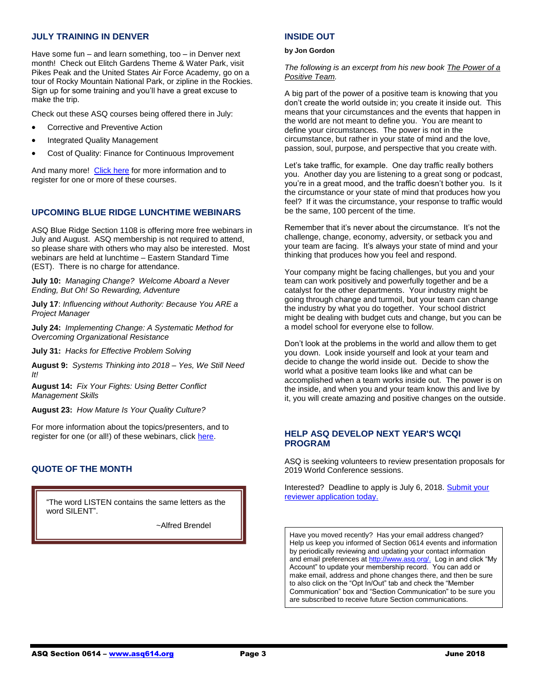### **JULY TRAINING IN DENVER**

Have some fun – and learn something, too – in Denver next month! Check out Elitch Gardens Theme & Water Park, visit Pikes Peak and the United States Air Force Academy, go on a tour of Rocky Mountain National Park, or zipline in the Rockies. Sign up for some training and you'll have a great excuse to make the trip.

Check out these ASQ courses being offered there in July:

- Corrective and Preventive Action
- Integrated Quality Management
- Cost of Quality: Finance for Continuous Improvement

And many more! [Click here](https://asq.org/training/catalog?loc=ca-sanfrancisco&utm_source=email&utm_medium=email&utm_campaign=marketing_training_pubcourses_022018) for more information and to register for one or more of these courses.

## **UPCOMING BLUE RIDGE LUNCHTIME WEBINARS**

ASQ Blue Ridge Section 1108 is offering more free webinars in July and August. ASQ membership is not required to attend, so please share with others who may also be interested. Most webinars are held at lunchtime – Eastern Standard Time (EST). There is no charge for attendance.

**July 10:** *Managing Change? Welcome Aboard a Never Ending, But Oh! So Rewarding, Adventure*

**July 17**: *Influencing without Authority: Because You ARE a Project Manager*

**July 24:** *Implementing Change: A Systematic Method for Overcoming Organizational Resistance*

**July 31:** *Hacks for Effective Problem Solving*

**August 9:** *Systems Thinking into 2018 – Yes, We Still Need It!*

**August 14:** *Fix Your Fights: Using Better Conflict Management Skills*

**August 23:** *How Mature Is Your Quality Culture?*

For more information about the topics/presenters, and to register for one (or all!) of these webinars, click [here.](http://www.blueridgeasq1108.org/upcoming-events/)

## **QUOTE OF THE MONTH**

"The word LISTEN contains the same letters as the word SILENT".

~Alfred Brendel

### **INSIDE OUT**

#### **by Jon Gordon**

*The following is an excerpt from his new book The Power of a Positive Team.*

A big part of the power of a positive team is knowing that you don't create the world outside in; you create it inside out. This means that your circumstances and the events that happen in the world are not meant to define you. You are meant to define your circumstances. The power is not in the circumstance, but rather in your state of mind and the love, passion, soul, purpose, and perspective that you create with.

Let's take traffic, for example. One day traffic really bothers you. Another day you are listening to a great song or podcast, you're in a great mood, and the traffic doesn't bother you. Is it the circumstance or your state of mind that produces how you feel? If it was the circumstance, your response to traffic would be the same, 100 percent of the time.

Remember that it's never about the circumstance. It's not the challenge, change, economy, adversity, or setback you and your team are facing. It's always your state of mind and your thinking that produces how you feel and respond.

Your company might be facing challenges, but you and your team can work positively and powerfully together and be a catalyst for the other departments. Your industry might be going through change and turmoil, but your team can change the industry by what you do together. Your school district might be dealing with budget cuts and change, but you can be a model school for everyone else to follow.

Don't look at the problems in the world and allow them to get you down. Look inside yourself and look at your team and decide to change the world inside out. Decide to show the world what a positive team looks like and what can be accomplished when a team works inside out. The power is on the inside, and when you and your team know this and live by it, you will create amazing and positive changes on the outside.

### **HELP ASQ DEVELOP NEXT YEAR'S WCQI PROGRAM**

ASQ is seeking volunteers to review presentation proposals for 2019 World Conference sessions.

Interested? Deadline to apply is July 6, 2018. [Submit your](http://send.asq.org/link.cfm?r=O4fm4FESIoti18Gkq1PUMw~~&pe=Dap1JxlMDPOL7Br1Z9Yej5iEgaS6N9QhMIc1C9bXc4WAP-TO8UdZMCBQFMB92hOGUAnKCIWx66pbm_2JqAs2xA~~&t=Md1FOgZ8Aq9o9tKbH2Enjw~~)  [reviewer application today.](http://send.asq.org/link.cfm?r=O4fm4FESIoti18Gkq1PUMw~~&pe=Dap1JxlMDPOL7Br1Z9Yej5iEgaS6N9QhMIc1C9bXc4WAP-TO8UdZMCBQFMB92hOGUAnKCIWx66pbm_2JqAs2xA~~&t=Md1FOgZ8Aq9o9tKbH2Enjw~~)

Have you moved recently? Has your email address changed? Help us keep you informed of Section 0614 events and information by periodically reviewing and updating your contact information and email preferences at [http://www.asq.org/.](http://www.asq.org/) Log in and click "My Account" to update your membership record. You can add or make email, address and phone changes there, and then be sure to also click on the "Opt In/Out" tab and check the "Member Communication" box and "Section Communication" to be sure you are subscribed to receive future Section communications.